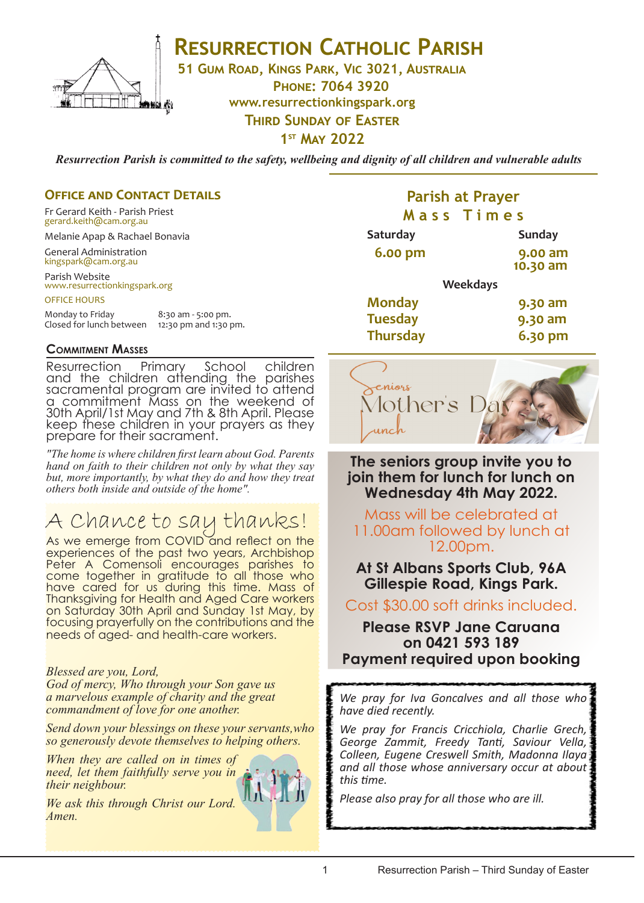

## **RESURRECTION CATHOLIC PARISH**

**51 Gum Road, Kings Park, Vic 3021, Australia**

**Phone: 7064 3920**

**www.resurrectionkingspark.org**

**THIRD SUNDAY OF EASTER** 

**1st May 2022**

*Resurrection Parish is committed to the safety, wellbeing and dignity of all children and vulnerable adults*

#### **OFFICE AND CONTACT DETAILS**

Fr Gerard Keith - Parish Priest gerard.keith@cam.org.au

Melanie Apap & Rachael Bonavia

General Administration kingspark@cam.org.au

Parish Website www.resurrectionkingspark.org

OFFICE HOURS

| Monday to Friday         | 8:30 am - 5:00 pm.    |
|--------------------------|-----------------------|
| Closed for lunch between | 12:30 pm and 1:30 pm. |

#### **Commitment Masses**

Resurrection Primary School children and the children attending the parishes sacramental program are invited to attend a commitment Mass on the weekend of 30th April/1st May and 7th & 8th April. Please keep these children in your prayers as they prepare for their sacrament.

*"The home is where children first learn about God. Parents hand on faith to their children not only by what they say but, more importantly, by what they do and how they treat others both inside and outside of the home".*

# A Chance to say thanks!

As we emerge from COVID and reflect on the experiences of the past two years, Archbishop Peter A Comensoli encourages parishes to come together in gratitude to all those who have cared for us during this time. Mass of Thanksgiving for Health and Aged Care workers on Saturday 30th April and Sunday 1st May, by focusing prayerfully on the contributions and the needs of aged- and health-care workers.

#### *Blessed are you, Lord,*

*God of mercy, Who through your Son gave us a marvelous example of charity and the great commandment of love for one another.*

*Send down your blessings on these your servants,who so generously devote themselves to helping others.* 

*When they are called on in times of need, let them faithfully serve you in their neighbour.* WЧ

*We ask this through Christ our Lord. Amen.*

### **Parish at Prayer M a s s T i m e s**

| Saturday        |                 | <b>Sunday</b>       |
|-----------------|-----------------|---------------------|
| 6.00 pm         |                 | 9.00 am<br>10.30 am |
|                 | <b>Weekdays</b> |                     |
| <b>Monday</b>   |                 | 9.30 am             |
| <b>Tuesday</b>  |                 | 9.30 am             |
| <b>Thursday</b> |                 | 6.30 pm             |



**The seniors group invite you to join them for lunch for lunch on Wednesday 4th May 2022.** 

Mass will be celebrated at 11.00am followed by lunch at 12.00pm.

**At St Albans Sports Club, 96A Gillespie Road, Kings Park.**

Cost \$30.00 soft drinks included.

### **Please RSVP Jane Caruana on 0421 593 189 Payment required upon booking**

*We pray for Iva Goncalves and all those who have died recently.* 

*We pray for Francis Cricchiola, Charlie Grech, George Zammit, Freedy Tanti, Saviour Vella, Colleen, Eugene Creswell Smith, Madonna Ilaya and all those whose anniversary occur at about this time.*

*Please also pray for all those who are ill.*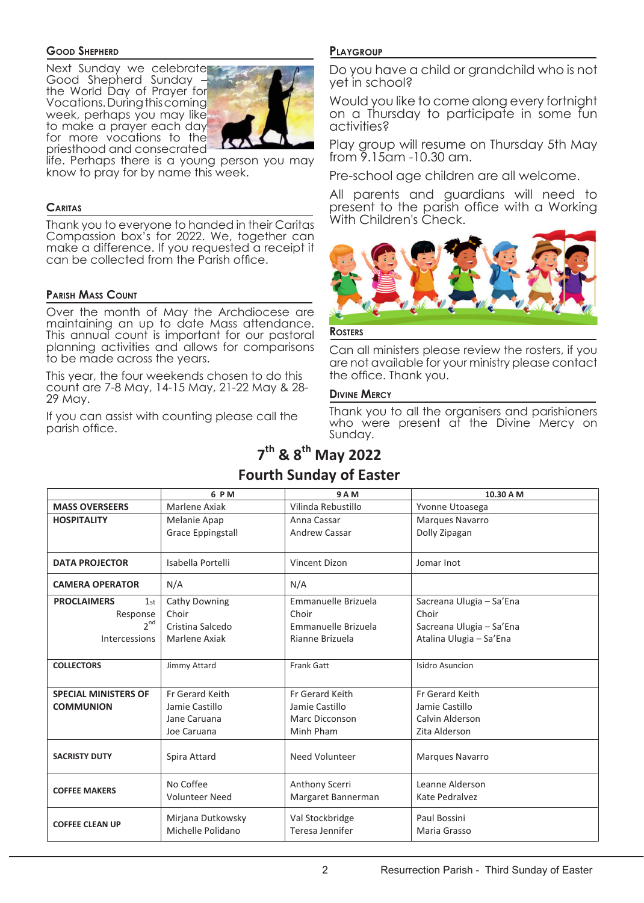#### **Good Shepherd**

Next Sunday we celebrate Good Shepherd Sunday – the World Day of Prayer for Vocations. During this coming week, perhaps you may like to make a prayer each day **MASS OVERSEERS** Judities? for more vocations to the priesthood and consecrated ecrated-



life. Perhaps there is a young person you may know to pray for by name this week. a young

#### **Caritas**

<del>Thank you to everyone to handed in their Caritas</del> Compassion box's for 2022. We, together can  $\frac{1}{2}$  and  $\frac{1}{2}$  and  $\frac{1}{2}$  and  $\frac{1}{2}$  and  $\frac{1}{2}$  are  $\frac{1}{2}$  and  $\frac{1}{2}$  and  $\frac{1}{2}$  and  $\frac{1}{2}$  and  $\frac{1}{2}$  and  $\frac{1}{2}$  and  $\frac{1}{2}$  and  $\frac{1}{2}$  and  $\frac{1}{2}$  and  $\frac{1}{2}$  and  $\frac{1}{2}$  a make a ambience. ", you requested an  $\mathbb{P}^{\ldots}$ 

#### **Parish Mass Count**

**Over the month of May the Archdiocese are** Over the momm of may the Archaiocese are seen in the momm of may the Archaiocese are maintaining an op to date mass arrendance.<br>This annual count is important for our pastoral planning activities and allows for comparisons to be made across the years.<br> **SACRISTIC BOOK CONTRACT ACT ACTS** Are not available for your m <u>Mëritinë t</u> From the Gerard Keith Company of the Gerard Keith

This year, the four weekends chosen to do this rnis year, me four weekends chosen to do mis<br>count are 7-8 May, 14-15 May, 21-22 May & 28-29 May.

If you can assist with counting please call the parish office.

#### **Playgroup**

Do you have a child or grandchild who is not **1** Do you have a 1st the 1st the 1st the 1st the 1st the 1st the 1st the 1st the 1st the 1st the 1st the 1st the 1st the 1st the 1st the 1st the 1st the 1st the 1st the 1st the 1st the 1st the 1st the 1st the 1st the 1st

**This Sunday Would you like to come along every fortnight 6.000 AM 10.300 AM 10.30 AM 10.30 AM 10.30 AM 10.30 AM 10.30 AM 10.30 AM 10.30 AM 10.30 AM 10.30 AM 10.30 AM 10.30 AM 10.30 AM 10.30 AM 10.30 AM 10.30 AM 10.30 AM 10.30 AM 10.30 AM 10.30 AM 10.30 AM 10.30 AM 10.30 AM 10.3** activities?

> Play group will resume on Thursday 5th May from 9.15am -10.30 am. Maria Grasso  $\begin{array}{c} \overline{\phantom{a}} & \phantom{a} & \phantom{a} & \phantom{a} \\ \overline{\phantom{a}} & \phantom{a} & \phantom{a} & \phantom{a} \\ \phantom{a} & \phantom{a} & \phantom{a} & \phantom{a} \\ \phantom{a} & \phantom{a} & \phantom{a} & \phantom{a} \end{array}$

how to pray for by hame this week. **Data propies a Pre-school age children are all welcome.** 

All parents and guardians will need to **CARITAS** CARITAS  $\overline{t_{\sf intres}}$  With Children's Check.



#### **ROSTERS**

Can all ministers please review the rosters, if you are not available for your ministry please contact his the office. Thank you. Dolly Zipagan Mary Rulla

#### <sup>28-</sup> Divine Mercy

Counting please call the Thank you to all the organisers and parishioners<br>Mercy on meantly be to an the englangers after penamericity Sunday.

### **7th & 8th May 2022 Fourth Sunday of Easter**

|                             | 6 P M                    | 9 A M                | 10.30 A M                |
|-----------------------------|--------------------------|----------------------|--------------------------|
| <b>MASS OVERSEERS</b>       | Marlene Axiak            | Vilinda Rebustillo   | Yvonne Utoasega          |
| <b>HOSPITALITY</b>          | Melanie Apap             | Anna Cassar          | Marques Navarro          |
|                             | <b>Grace Eppingstall</b> | <b>Andrew Cassar</b> | Dolly Zipagan            |
|                             |                          |                      |                          |
| <b>DATA PROJECTOR</b>       | Isabella Portelli        | Vincent Dizon        | Jomar Inot               |
| <b>CAMERA OPERATOR</b>      | N/A                      | N/A                  |                          |
| <b>PROCLAIMERS</b><br>1st   | Cathy Downing            | Emmanuelle Brizuela  | Sacreana Ulugia - Sa'Ena |
| Response                    | Choir                    | Choir                | Choir                    |
| $2^{nd}$                    | Cristina Salcedo         | Emmanuelle Brizuela  | Sacreana Ulugia - Sa'Ena |
| Intercessions               | Marlene Axiak            | Rianne Brizuela      | Atalina Ulugia - Sa'Ena  |
|                             |                          |                      |                          |
| <b>COLLECTORS</b>           | Jimmy Attard             | Frank Gatt           | Isidro Asuncion          |
|                             |                          |                      |                          |
| <b>SPECIAL MINISTERS OF</b> | Fr Gerard Keith          | Fr Gerard Keith      | Fr Gerard Keith          |
| <b>COMMUNION</b>            | Jamie Castillo           | Jamie Castillo       | Jamie Castillo           |
|                             | Jane Caruana             | Marc Dicconson       | Calvin Alderson          |
|                             | Joe Caruana              | Minh Pham            | Zita Alderson            |
| <b>SACRISTY DUTY</b>        |                          |                      |                          |
|                             | Spira Attard             | Need Volunteer       | Marques Navarro          |
|                             | No Coffee                | Anthony Scerri       | Leanne Alderson          |
| <b>COFFEE MAKERS</b>        | <b>Volunteer Need</b>    | Margaret Bannerman   | Kate Pedralvez           |
|                             |                          |                      |                          |
| <b>COFFEE CLEAN UP</b>      | Mirjana Dutkowsky        | Val Stockbridge      | Paul Bossini             |
|                             | Michelle Polidano        | Teresa Jennifer      | Maria Grasso             |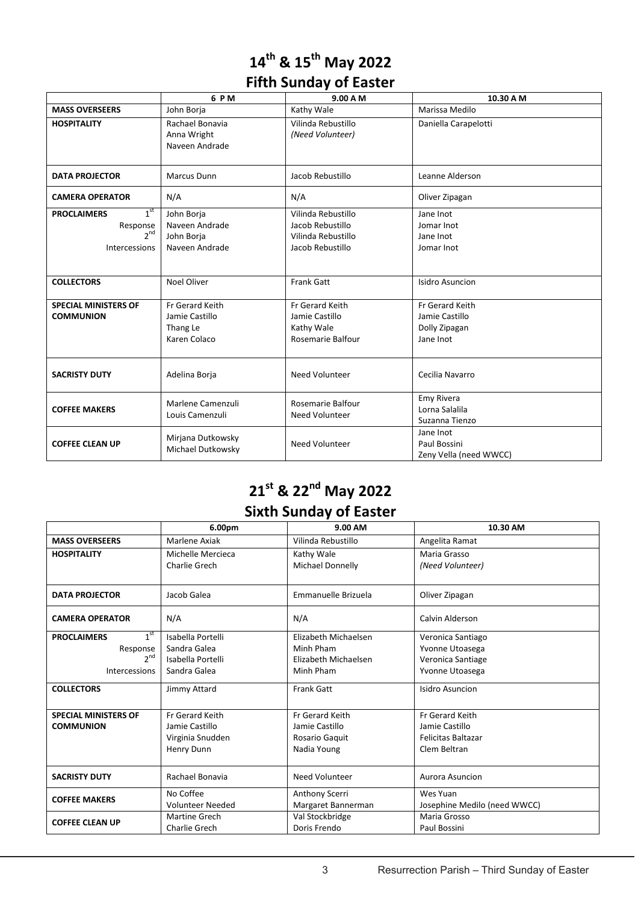## **14th & 15th May 2022 Fifth Sunday of Easter**

|                                                                                       | 6 PM                                                          | 9.00 A M                                                                         | 10.30 A M                                                       |
|---------------------------------------------------------------------------------------|---------------------------------------------------------------|----------------------------------------------------------------------------------|-----------------------------------------------------------------|
| <b>MASS OVERSEERS</b>                                                                 | John Borja                                                    | Kathy Wale                                                                       | Marissa Medilo                                                  |
| <b>HOSPITALITY</b>                                                                    | Rachael Bonavia<br>Anna Wright<br>Naveen Andrade              | Vilinda Rebustillo<br>(Need Volunteer)                                           | Daniella Carapelotti                                            |
| <b>DATA PROJECTOR</b>                                                                 | <b>Marcus Dunn</b>                                            | Jacob Rebustillo                                                                 | Leanne Alderson                                                 |
| <b>CAMERA OPERATOR</b>                                                                | N/A                                                           | N/A                                                                              | Oliver Zipagan                                                  |
| 1 <sup>st</sup><br><b>PROCLAIMERS</b><br>Response<br>2 <sup>nd</sup><br>Intercessions | John Borja<br>Naveen Andrade<br>John Borja<br>Naveen Andrade  | Vilinda Rebustillo<br>Jacob Rebustillo<br>Vilinda Rebustillo<br>Jacob Rebustillo | Jane Inot<br>Jomar Inot<br>Jane Inot<br>Jomar Inot              |
| <b>COLLECTORS</b>                                                                     | <b>Noel Oliver</b>                                            | Frank Gatt                                                                       | Isidro Asuncion                                                 |
| <b>SPECIAL MINISTERS OF</b><br><b>COMMUNION</b>                                       | Fr Gerard Keith<br>Jamie Castillo<br>Thang Le<br>Karen Colaco | Fr Gerard Keith<br>Jamie Castillo<br>Kathy Wale<br><b>Rosemarie Balfour</b>      | Fr Gerard Keith<br>Jamie Castillo<br>Dolly Zipagan<br>Jane Inot |
| <b>SACRISTY DUTY</b>                                                                  | Adelina Borja                                                 | Need Volunteer                                                                   | Cecilia Navarro                                                 |
| <b>COFFEE MAKERS</b>                                                                  | Marlene Camenzuli<br>Louis Camenzuli                          | <b>Rosemarie Balfour</b><br><b>Need Volunteer</b>                                | Emy Rivera<br>Lorna Salalila<br>Suzanna Tienzo                  |
| <b>COFFEE CLEAN UP</b>                                                                | Mirjana Dutkowsky<br>Michael Dutkowsky                        | Need Volunteer                                                                   | Jane Inot<br>Paul Bossini<br>Zeny Vella (need WWCC)             |

### **21st & 22nd May 2022 Sixth Sunday of Easter**

|                                    | 6.00pm                  | 9.00 AM                 | 10.30 AM                     |
|------------------------------------|-------------------------|-------------------------|------------------------------|
| <b>MASS OVERSEERS</b>              | Marlene Axiak           | Vilinda Rebustillo      | Angelita Ramat               |
| <b>HOSPITALITY</b>                 | Michelle Mercieca       | Kathy Wale              | Maria Grasso                 |
|                                    | Charlie Grech           | <b>Michael Donnelly</b> | (Need Volunteer)             |
| <b>DATA PROJECTOR</b>              | Jacob Galea             | Emmanuelle Brizuela     | Oliver Zipagan               |
| <b>CAMERA OPERATOR</b>             | N/A                     | N/A                     | Calvin Alderson              |
| $1^{\rm st}$<br><b>PROCLAIMERS</b> | Isabella Portelli       | Elizabeth Michaelsen    | Veronica Santiago            |
| Response                           | Sandra Galea            | Minh Pham               | Yvonne Utoasega              |
| $2^{nd}$                           | Isabella Portelli       | Elizabeth Michaelsen    | Veronica Santiage            |
| Intercessions                      | Sandra Galea            | Minh Pham               | Yvonne Utoasega              |
| <b>COLLECTORS</b>                  | Jimmy Attard            | <b>Frank Gatt</b>       | Isidro Asuncion              |
| <b>SPECIAL MINISTERS OF</b>        | Fr Gerard Keith         | Fr Gerard Keith         | Fr Gerard Keith              |
| <b>COMMUNION</b>                   | Jamie Castillo          | Jamie Castillo          | Jamie Castillo               |
|                                    | Virginia Snudden        | Rosario Gaquit          | <b>Felicitas Baltazar</b>    |
|                                    | Henry Dunn              | Nadia Young             | Clem Beltran                 |
| <b>SACRISTY DUTY</b>               | Rachael Bonavia         | Need Volunteer          | Aurora Asuncion              |
| <b>COFFEE MAKERS</b>               | No Coffee               | Anthony Scerri          | Wes Yuan                     |
|                                    | <b>Volunteer Needed</b> | Margaret Bannerman      | Josephine Medilo (need WWCC) |
| <b>COFFEE CLEAN UP</b>             | <b>Martine Grech</b>    | Val Stockbridge         | Maria Grosso                 |
|                                    | Charlie Grech           | Doris Frendo            | Paul Bossini                 |